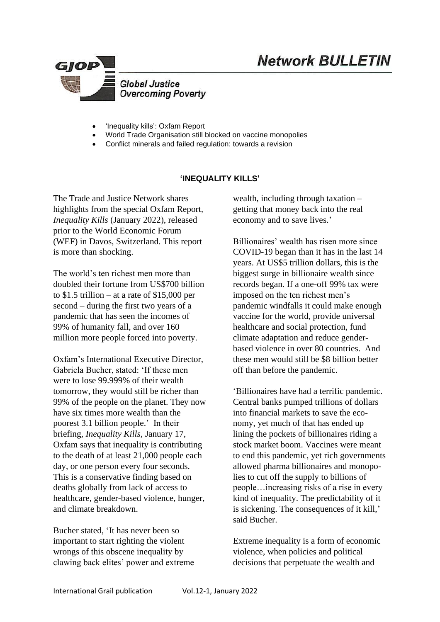

- 'Inequality kills': Oxfam Report
- World Trade Organisation still blocked on vaccine monopolies
- Conflict minerals and failed regulation: towards a revision

## **'INEQUALITY KILLS'**

The Trade and Justice Network shares highlights from the special Oxfam Report, *Inequality Kills* (January 2022), released prior to the World Economic Forum (WEF) in Davos, Switzerland. This report is more than shocking.

The world's ten richest men more than doubled their fortune from US\$700 billion to  $$1.5$  trillion – at a rate of  $$15,000$  per second – during the first two years of a pandemic that has seen the incomes of 99% of humanity fall, and over 160 million more people forced into poverty.

Oxfam's International Executive Director, Gabriela Bucher, stated: 'If these men were to lose 99.999% of their wealth tomorrow, they would still be richer than 99% of the people on the planet. They now have six times more wealth than the poorest 3.1 billion people.' In their briefing, *Inequality Kills,* January 17, Oxfam says that inequality is contributing to the death of at least 21,000 people each day, or one person every four seconds. This is a conservative finding based on deaths globally from lack of access to healthcare, gender-based violence, hunger, and climate breakdown.

Bucher stated, 'It has never been so important to start righting the violent wrongs of this obscene inequality by clawing back elites' power and extreme wealth, including through taxation – getting that money back into the real economy and to save lives.'

**Network BULLETIN** 

Billionaires' wealth has risen more since COVID-19 began than it has in the last 14 years. At US\$5 trillion dollars, this is the biggest surge in billionaire wealth since records began. If a one-off 99% tax were imposed on the ten richest men's pandemic windfalls it could make enough vaccine for the world, provide universal healthcare and social protection, fund climate adaptation and reduce genderbased violence in over 80 countries. And these men would still be \$8 billion better off than before the pandemic.

'Billionaires have had a terrific pandemic. Central banks pumped trillions of dollars into financial markets to save the economy, yet much of that has ended up lining the pockets of billionaires riding a stock market boom. Vaccines were meant to end this pandemic, yet rich governments allowed pharma billionaires and monopolies to cut off the supply to billions of people…increasing risks of a rise in every kind of inequality. The predictability of it is sickening. The consequences of it kill,' said Bucher.

Extreme inequality is a form of economic violence, when policies and political decisions that perpetuate the wealth and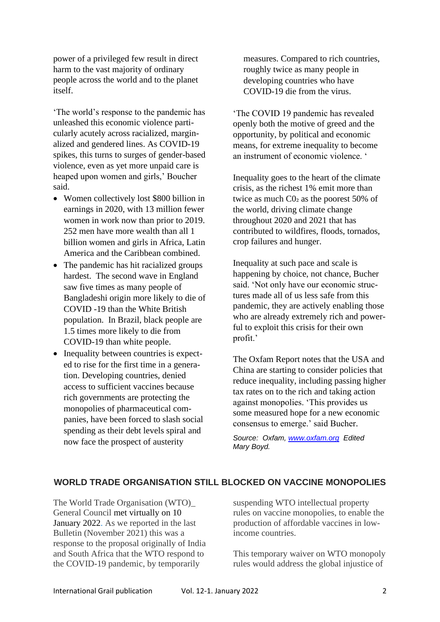power of a privileged few result in direct harm to the vast majority of ordinary people across the world and to the planet itself.

'The world's response to the pandemic has unleashed this economic violence particularly acutely across racialized, marginalized and gendered lines. As COVID-19 spikes, this turns to surges of gender-based violence, even as yet more unpaid care is heaped upon women and girls,' Boucher said.

- Women collectively lost \$800 billion in earnings in 2020, with 13 million fewer women in work now than prior to 2019. 252 men have more wealth than all 1 billion women and girls in Africa, Latin America and the Caribbean combined.
- The pandemic has hit racialized groups hardest. The second wave in England saw five times as many people of Bangladeshi origin more likely to die of COVID -19 than the White British population. In Brazil, black people are 1.5 times more likely to die from COVID-19 than white people.
- Inequality between countries is expected to rise for the first time in a generation. Developing countries, denied access to sufficient vaccines because rich governments are protecting the monopolies of pharmaceutical companies, have been forced to slash social spending as their debt levels spiral and now face the prospect of austerity

measures. Compared to rich countries, roughly twice as many people in developing countries who have COVID-19 die from the virus.

'The COVID 19 pandemic has revealed openly both the motive of greed and the opportunity, by political and economic means, for extreme inequality to become an instrument of economic violence. '

Inequality goes to the heart of the climate crisis, as the richest 1% emit more than twice as much C0₂ as the poorest 50% of the world, driving climate change throughout 2020 and 2021 that has contributed to wildfires, floods, tornados, crop failures and hunger.

Inequality at such pace and scale is happening by choice, not chance, Bucher said. 'Not only have our economic structures made all of us less safe from this pandemic, they are actively enabling those who are already extremely rich and powerful to exploit this crisis for their own profit.'

The Oxfam Report notes that the USA and China are starting to consider policies that reduce inequality, including passing higher tax rates on to the rich and taking action against monopolies. 'This provides us some measured hope for a new economic consensus to emerge.' said Bucher.

*Source: Oxfam, [www.oxfam.org](http://www.oxfam.org/) Edited Mary Boyd.*

# **WORLD TRADE ORGANISATION STILL BLOCKED ON VACCINE MONOPOLIES**

The World Trade Organisation (WTO)\_ General Council met [virtually](https://www.wto.org/english/news_e/news22_e/gc_10jan22_e.htm) on 10 [January](https://www.wto.org/english/news_e/news22_e/gc_10jan22_e.htm) 2022. As we reported in the last Bulletin (November 2021) this was a response to the proposal originally of India and South Africa that the WTO respond to the COVID-19 pandemic, by temporarily

suspending WTO intellectual property rules on vaccine monopolies, to enable the production of affordable vaccines in lowincome countries.

This temporary waiver on WTO monopoly rules would address the global injustice of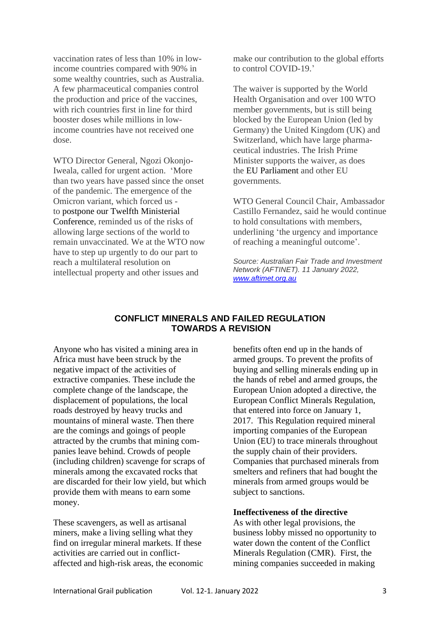vaccination rates of less than 10% in lowincome countries compared with 90% in some wealthy countries, such as Australia. A few pharmaceutical companies control the production and price of the vaccines, with rich countries first in line for third booster doses while millions in lowincome countries have not received one dose.

WTO Director General, Ngozi Okonjo-Iweala, called for urgent action. 'More than two years have passed since the onset of the pandemic. The emergence of the Omicron variant, which forced us to postpone our Twelfth [Ministerial](https://www.wto.org/english/news_e/news21_e/mc12_26nov21_e.htm) [Conference,](https://www.wto.org/english/news_e/news21_e/mc12_26nov21_e.htm) reminded us of the risks of allowing large sections of the world to remain unvaccinated. We at the WTO now have to step up urgently to do our part to reach a multilateral resolution on intellectual property and other issues and

make our contribution to the global efforts to control COVID-19.'

The waiver is supported by the World Health Organisation and over 100 WTO member governments, but is still being blocked by the European Union (led by Germany) the United Kingdom (UK) and Switzerland, which have large pharmaceutical industries. The Irish Prime Minister supports the waiver, as does the EU [Parliament](https://www.europarl.europa.eu/doceo/document/TA-9-2021-0474_EN.html) and other EU governments.

WTO General Council Chair, Ambassador Castillo Fernandez, said he would continue to hold consultations with members, underlining 'the urgency and importance of reaching a meaningful outcome'.

*Source: Australian Fair Trade and Investment Network (AFTINET). 11 January 2022, [www.aftimet.org.au](http://www.aftimet.org.au/)*

## **CONFLICT MINERALS AND FAILED REGULATION TOWARDS A REVISION**

Anyone who has visited a mining area in Africa must have been struck by the negative impact of the activities of extractive companies. These include the complete change of the landscape, the displacement of populations, the local roads destroyed by heavy trucks and mountains of mineral waste. Then there are the comings and goings of people attracted by the crumbs that mining companies leave behind. Crowds of people (including children) scavenge for scraps of minerals among the excavated rocks that are discarded for their low yield, but which provide them with means to earn some money.

These scavengers, as well as artisanal miners, make a living selling what they find on irregular mineral markets. If these activities are carried out in conflictaffected and high-risk areas, the economic benefits often end up in the hands of armed groups. To prevent the profits of buying and selling minerals ending up in the hands of rebel and armed groups, the European Union adopted a directive, the European Conflict Minerals Regulation, that entered into force on January 1, 2017. This Regulation required mineral importing companies of the European Union (EU) to trace minerals throughout the supply chain of their providers. Companies that purchased minerals from smelters and refiners that had bought the minerals from armed groups would be subject to sanctions.

### **Ineffectiveness of the directive**

As with other legal provisions, the business lobby missed no opportunity to water down the content of the Conflict Minerals Regulation (CMR). First, the mining companies succeeded in making